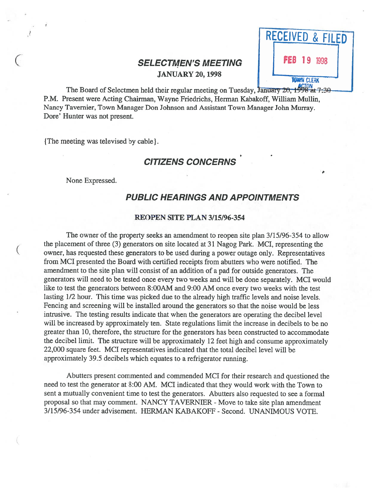# SELECTMEN'S MEETING<br>JANUARY 20, 1998



The Board of Selectmen held their regular meeting on Tuesday, January 20, 1998 at 7:30 P.M. Present were Acting Chairman, Wayne Friedñchs, Herman Kabakoff, William Mullin, Nancy Tavemier, Town Manager Don Johnson and Assistant Town Manager John Murray. Dore' Hunter was not present.

{ The meeting was televised by cable).

# CITIZENS CONCERNS

None Expressed.

## PUBLIC HEARINGS AND APPOINTMENTS

#### REOPEN SITE PLAN 3/15/96-354

The owner of the property seeks an amendment to reopen site <sup>p</sup>lan 3/15/96-354 to allow the placement of three (3) generators on site located at 31 Nagog Park. MCI, representing the owner, has requested these generators to be used during <sup>a</sup> power outage only. Representatives from MCI presented the Board with certified receipts from abutters who were notified. The amendment to the site <sup>p</sup>lan will consist of an addition of <sup>a</sup> pad for outside generators. The generators will need to be tested once every two weeks and will be done separately. MCI would like to test the generators between 8:00AM and 9:00 AM once every two weeks with the test lasting 1/2 hour. This time was <sup>p</sup>icked due to the already high traffic levels and noise levels. Fencing and screening will be installed around the generators so that the noise would be less intrusive. The testing results indicate that when the generators are operating the decibel level will be increased by approximately ten. State regulations limit the increase in decibels to be no greater than 10, therefore, the structure for the generators has been constructed to accommodate the decibel limit. The structure will be approximately <sup>12</sup> feet high and consume approximately 22,000 square feet. MCI representatives indicated that the total decibel level will be approximately 39.5 decibels which equates to <sup>a</sup> refrigerator running.

Abutters presen<sup>t</sup> commented and commended MCI for their research and questioned the need to test the generator at 8:00 AM. MCI indicated that they would work with the Town to sent <sup>a</sup> mutually convenient time to test the generators. Abutters also requested to see <sup>a</sup> formal proposal so that may comment. NANCY TAVERNIER - Move to take site plan amendment 3/15/96-354 under advisement. HERMAN KABAKOFF -Second. UNANIMOUS VOTE.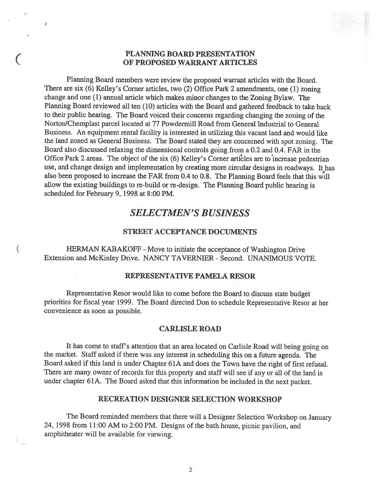## PLANNING BOARD PRESENTATION OF PROPOSED WARRANT ARTICLES

Planning Board members were review the propose<sup>d</sup> warrant articles with the Board. There are six (6) Kelley's Corner articles, two (2) Office Park <sup>2</sup> amendments, one (1) zoning change and one (1) annual article which makes minor changes to the Zoning Bylaw. The Planning Board reviewed all ten (10) articles with the Board and gathered feedback to take back to their public hearing. The Board voiced their concerns regarding changing the zoning of the Norton/Chemplast parcel located at 77 Powdermill Road from General Industrial to General Business. An equipment rental facility is interested in utilizing this vacant land and would like the land zoned as General Business. The Board stated they are concerned with spo<sup>t</sup> zoning. The Board also discussed relaxing the dimensional controls going from <sup>a</sup> 0.2 and 0.4. FAR in the Office Park 2 areas. The object of the six (6) Kelley's Corner articles are to increase pedestrian use, and change design and implementation by creating more circular designs in roadways. It has also been propose<sup>d</sup> to increase the FAR from 0.4 to 0.8. The Planning Board feels that this will allow the existing buildings to re-build or re-design. The Planning Board public hearing is scheduled for February 9, 1998 at 8:00 PM.

# SELECTMEN'S BUSINESS

## STREET ACCEPTANCE DOCUMENTS

HERMAN KABAKOFF - Move to initiate the acceptance of Washington Drive Extension and McKinley Drive. NANCY TAVERNIER - Second. UNANIMOUS VOTE.

### REPRESENTATIVE PAMELA RESOR

Representative Resor would like to come before the Board to discuss state budget priorities for fiscal year 1999. The Board directed Don to schedule Representative Resor at her convenience as soon as possible.

#### CARLISLE ROAD

It has come to staff's attention that an area located on Carlisle Road will being going on the market. Staff asked if there was any interest in scheduling this on <sup>a</sup> future agenda. The Board asked if this land is under Chapter 61A and does the Town have the right of first refusal. There are many owner of records for this property and staff will see if any or all of the land is under chapter 61A. The Board asked that this information be included in the next packet.

### RECREATION DESIGNER SELECTION WORKSHOP

The Board reminded members that there will <sup>a</sup> Designer Selection Workshop on January 24, <sup>1998</sup> from 11:00 AM to 2:00 PM. Designs of the bath house, <sup>p</sup>icnic pavilion, and amphitheater will be available for viewing.